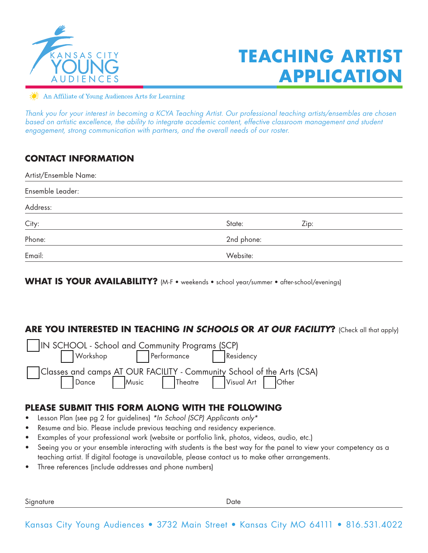

# **TEACHING ARTIST APPLICATION**

An Affiliate of Young Audiences Arts for Learning

*Thank you for your interest in becoming a KCYA Teaching Artist. Our professional teaching artists/ensembles are chosen based on artistic excellence, the ability to integrate academic content, effective classroom management and student*  engagement, strong communication with partners, and the overall needs of our roster.

# **CONTACT INFORMATION**

| Artist/Ensemble Name: |            |      |  |  |  |  |
|-----------------------|------------|------|--|--|--|--|
| Ensemble Leader:      |            |      |  |  |  |  |
| Address:              |            |      |  |  |  |  |
| City:                 | State:     | Zip: |  |  |  |  |
| Phone:                | 2nd phone: |      |  |  |  |  |
| Email:                | Website:   |      |  |  |  |  |

WHAT IS YOUR AVAILABILITY? (M-F • weekends • school year/summer • after-school/evenings)

# **ARE YOU INTERESTED IN TEACHING** *IN SCHOOLS* **OR** *AT OUR FACILITY***?** (Check all that apply)

| IN SCHOOL - School and Community Programs (SCP)                                                                |  |  |                                    |  |  |
|----------------------------------------------------------------------------------------------------------------|--|--|------------------------------------|--|--|
|                                                                                                                |  |  | Workshop   Performance   Residency |  |  |
| Classes and camps AT OUR FACILITY - Community School of the Arts (CSA)<br>Dance Music Theatre Visual Art Other |  |  |                                    |  |  |
|                                                                                                                |  |  |                                    |  |  |

# **PLEASE SUBMIT THIS FORM ALONG WITH THE FOLLOWING**

- Lesson Plan (see pg 2 for guidelines) *\*In School (SCP) Applicants only\**
- Resume and bio. Please include previous teaching and residency experience.
- Examples of your professional work (website or portfolio link, photos, videos, audio, etc.)
- Seeing you or your ensemble interacting with students is the best way for the panel to view your competency as a teaching artist. If digital footage is unavailable, please contact us to make other arrangements.
- Three references (include addresses and phone numbers)

Signature Date Date Date Date Date